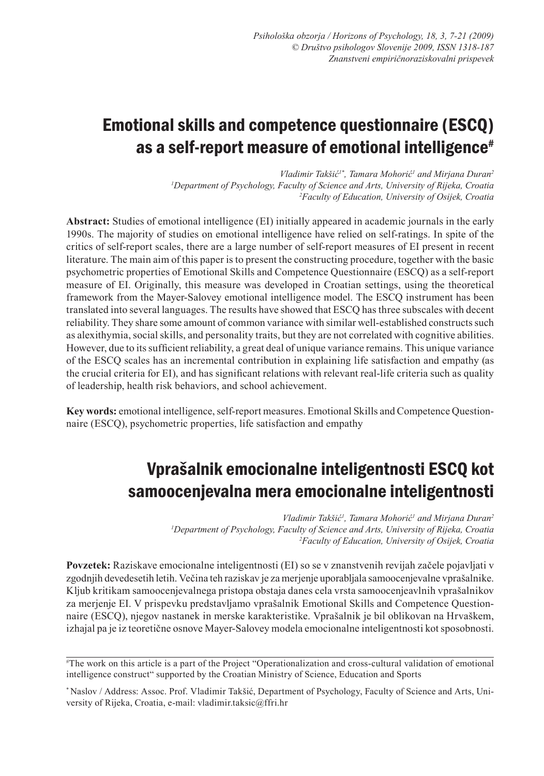# Emotional skills and competence questionnaire (ESCQ) as a self-report measure of emotional intelligence<sup>#</sup>

*Vladimir Takšić1\*, Tamara Mohorić<sup>1</sup> and Mirjana Duran2 1 Department of Psychology, Faculty of Science and Arts, University of Rijeka, Croatia 2 Faculty of Education, University of Osijek, Croatia*

**Abstract:** Studies of emotional intelligence (EI) initially appeared in academic journals in the early 1990s. The majority of studies on emotional intelligence have relied on self-ratings. In spite of the critics of self-report scales, there are a large number of self-report measures of EI present in recent literature. The main aim of this paper is to present the constructing procedure, together with the basic psychometric properties of Emotional Skills and Competence Questionnaire (ESCQ) as a self-report measure of EI. Originally, this measure was developed in Croatian settings, using the theoretical framework from the Mayer-Salovey emotional intelligence model. The ESCQ instrument has been translated into several languages. The results have showed that ESCQ has three subscales with decent reliability. They share some amount of common variance with similar well-established constructs such as alexithymia, social skills, and personality traits, but they are not correlated with cognitive abilities. However, due to its sufficient reliability, a great deal of unique variance remains. This unique variance of the ESCQ scales has an incremental contribution in explaining life satisfaction and empathy (as the crucial criteria for EI), and has significant relations with relevant real-life criteria such as quality of leadership, health risk behaviors, and school achievement.

**Key words:** emotional intelligence, self-report measures. Emotional Skills and Competence Questionnaire (ESCQ), psychometric properties, life satisfaction and empathy

# Vprašalnik emocionalne inteligentnosti ESCQ kot samoocenjevalna mera emocionalne inteligentnosti

*Vladimir Takšić<sup>1</sup> , Tamara Mohorić<sup>1</sup> and Mirjana Duran2 1 Department of Psychology, Faculty of Science and Arts, University of Rijeka, Croatia 2 Faculty of Education, University of Osijek, Croatia*

**Povzetek:** Raziskave emocionalne inteligentnosti (EI) so se v znanstvenih revijah začele pojavljati v zgodnjih devedesetih letih. Večina teh raziskav je za merjenje uporabljala samoocenjevalne vprašalnike. Kljub kritikam samoocenjevalnega pristopa obstaja danes cela vrsta samoocenjeavlnih vprašalnikov za merjenje EI. V prispevku predstavljamo vprašalnik Emotional Skills and Competence Questionnaire (ESCQ), njegov nastanek in merske karakteristike. Vprašalnik je bil oblikovan na Hrvaškem, izhajal pa je iz teoretične osnove Mayer-Salovey modela emocionalne inteligentnosti kot sposobnosti.

<sup>#</sup> The work on this article is a part of the Project "Operationalization and cross-cultural validation of emotional intelligence construct" supported by the Croatian Ministry of Science, Education and Sports

<sup>\*</sup> Naslov / Address: Assoc. Prof. Vladimir Takšić, Department of Psychology, Faculty of Science and Arts, University of Rijeka, Croatia, e-mail: vladimir.taksic@ffri.hr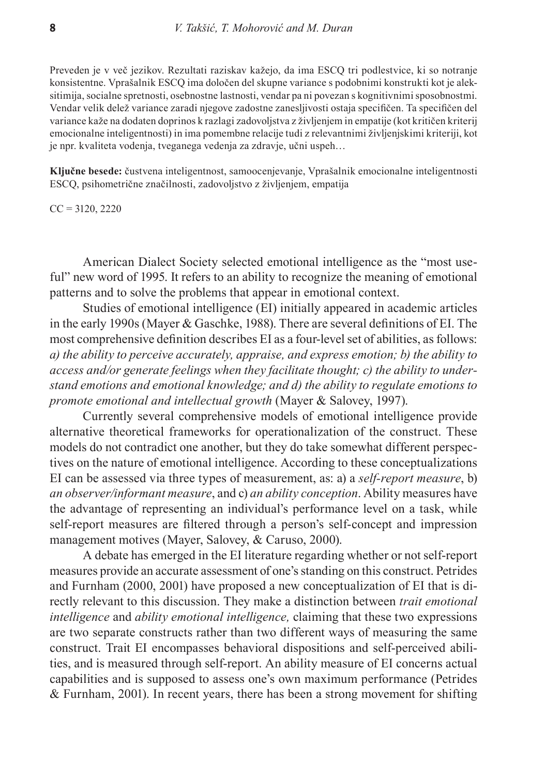Preveden je v več jezikov. Rezultati raziskav kažejo, da ima ESCQ tri podlestvice, ki so notranje konsistentne. Vprašalnik ESCQ ima določen del skupne variance s podobnimi konstrukti kot je aleksitimija, socialne spretnosti, osebnostne lastnosti, vendar pa ni povezan s kognitivnimi sposobnostmi. Vendar velik delež variance zaradi njegove zadostne zanesljivosti ostaja specifičen. Ta specifičen del variance kaže na dodaten doprinos k razlagi zadovoljstva z življenjem in empatije (kot kritičen kriterij emocionalne inteligentnosti) in ima pomembne relacije tudi z relevantnimi življenjskimi kriteriji, kot je npr. kvaliteta vodenja, tveganega vedenja za zdravje, učni uspeh…

**Ključne besede:** čustvena inteligentnost, samoocenjevanje, Vprašalnik emocionalne inteligentnosti ESCQ, psihometrične značilnosti, zadovoljstvo z življenjem, empatija

 $CC = 3120, 2220$ 

American Dialect Society selected emotional intelligence as the "most useful" new word of 1995. It refers to an ability to recognize the meaning of emotional patterns and to solve the problems that appear in emotional context.

Studies of emotional intelligence (EI) initially appeared in academic articles in the early 1990s (Mayer & Gaschke, 1988). There are several definitions of EI. The most comprehensive definition describes EI as a four-level set of abilities, as follows: *a) the ability to perceive accurately, appraise, and express emotion; b) the ability to access and/or generate feelings when they facilitate thought; c) the ability to understand emotions and emotional knowledge; and d) the ability to regulate emotions to promote emotional and intellectual growth* (Mayer & Salovey, 1997).

Currently several comprehensive models of emotional intelligence provide alternative theoretical frameworks for operationalization of the construct. These models do not contradict one another, but they do take somewhat different perspectives on the nature of emotional intelligence. According to these conceptualizations EI can be assessed via three types of measurement, as: a) a *self-report measure*, b) *an observer/informant measure*, and c) *an ability conception*. Ability measures have the advantage of representing an individual's performance level on a task, while self-report measures are filtered through a person's self-concept and impression management motives (Mayer, Salovey, & Caruso, 2000).

A debate has emerged in the EI literature regarding whether or not self-report measures provide an accurate assessment of one's standing on this construct. Petrides and Furnham (2000, 2001) have proposed a new conceptualization of EI that is directly relevant to this discussion. They make a distinction between *trait emotional intelligence* and *ability emotional intelligence,* claiming that these two expressions are two separate constructs rather than two different ways of measuring the same construct. Trait EI encompasses behavioral dispositions and self-perceived abilities, and is measured through self-report. An ability measure of EI concerns actual capabilities and is supposed to assess one's own maximum performance (Petrides & Furnham, 2001). In recent years, there has been a strong movement for shifting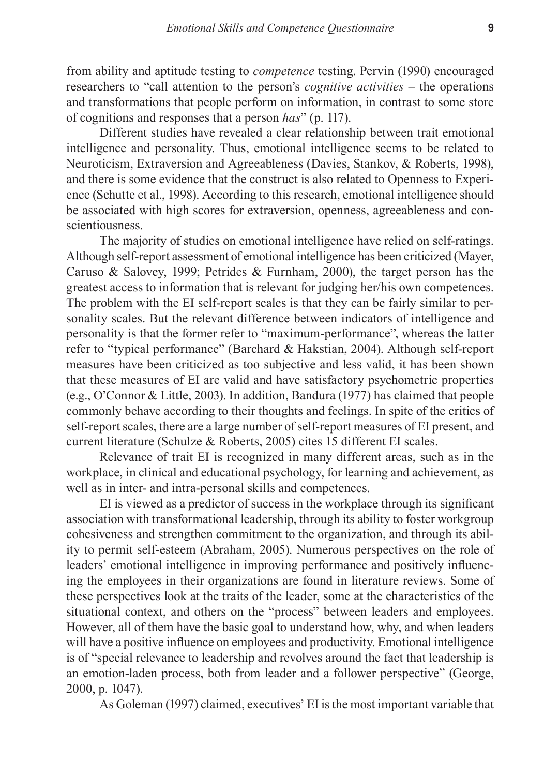from ability and aptitude testing to *competence* testing. Pervin (1990) encouraged researchers to "call attention to the person's *cognitive activities* – the operations and transformations that people perform on information, in contrast to some store of cognitions and responses that a person *has*" (p. 117).

Different studies have revealed a clear relationship between trait emotional intelligence and personality. Thus, emotional intelligence seems to be related to Neuroticism, Extraversion and Agreeableness (Davies, Stankov, & Roberts, 1998), and there is some evidence that the construct is also related to Openness to Experience (Schutte et al., 1998). According to this research, emotional intelligence should be associated with high scores for extraversion, openness, agreeableness and conscientiousness.

The majority of studies on emotional intelligence have relied on self-ratings. Although self-report assessment of emotional intelligence has been criticized (Mayer, Caruso & Salovey, 1999; Petrides & Furnham, 2000), the target person has the greatest access to information that is relevant for judging her/his own competences. The problem with the EI self-report scales is that they can be fairly similar to personality scales. But the relevant difference between indicators of intelligence and personality is that the former refer to "maximum-performance", whereas the latter refer to "typical performance" (Barchard & Hakstian, 2004). Although self-report measures have been criticized as too subjective and less valid, it has been shown that these measures of EI are valid and have satisfactory psychometric properties (e.g., O'Connor & Little, 2003). In addition, Bandura (1977) has claimed that people commonly behave according to their thoughts and feelings. In spite of the critics of self-report scales, there are a large number of self-report measures of EI present, and current literature (Schulze & Roberts, 2005) cites 15 different EI scales.

Relevance of trait EI is recognized in many different areas, such as in the workplace, in clinical and educational psychology, for learning and achievement, as well as in inter- and intra-personal skills and competences.

EI is viewed as a predictor of success in the workplace through its significant association with transformational leadership, through its ability to foster workgroup cohesiveness and strengthen commitment to the organization, and through its ability to permit self-esteem (Abraham, 2005). Numerous perspectives on the role of leaders' emotional intelligence in improving performance and positively influencing the employees in their organizations are found in literature reviews. Some of these perspectives look at the traits of the leader, some at the characteristics of the situational context, and others on the "process" between leaders and employees. However, all of them have the basic goal to understand how, why, and when leaders will have a positive influence on employees and productivity. Emotional intelligence is of "special relevance to leadership and revolves around the fact that leadership is an emotion-laden process, both from leader and a follower perspective" (George, 2000, p. 1047).

As Goleman (1997) claimed, executives' EI is the most important variable that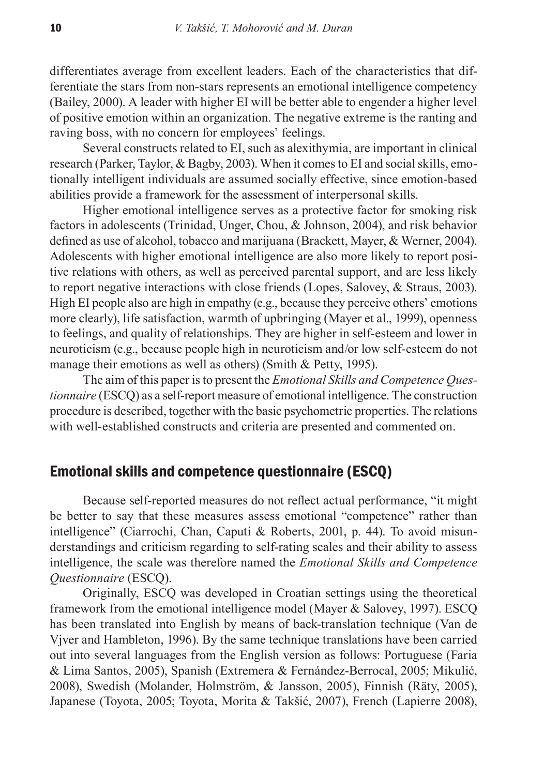differentiates average from excellent leaders. Each of the characteristics that differentiate the stars from non-stars represents an emotional intelligence competency (Bailey, 2000). A leader with higher EI will be better able to engender a higher level of positive emotion within an organization. The negative extreme is the ranting and raving boss, with no concern for employees' feelings.

Several constructs related to EI, such as alexithymia, are important in clinical research (Parker, Taylor, & Bagby, 2003). When it comes to EI and social skills, emotionally intelligent individuals are assumed socially effective, since emotion-based abilities provide a framework for the assessment of interpersonal skills.

Higher emotional intelligence serves as a protective factor for smoking risk factors in adolescents (Trinidad, Unger, Chou, & Johnson, 2004), and risk behavior defined as use of alcohol, tobacco and marijuana (Brackett, Mayer, & Werner, 2004). Adolescents with higher emotional intelligence are also more likely to report positive relations with others, as well as perceived parental support, and are less likely to report negative interactions with close friends (Lopes, Salovey, & Straus, 2003). High EI people also are high in empathy (e.g., because they perceive others' emotions more clearly), life satisfaction, warmth of upbringing (Mayer et al., 1999), openness to feelings, and quality of relationships. They are higher in self-esteem and lower in neuroticism (e.g., because people high in neuroticism and/or low self-esteem do not manage their emotions as well as others) (Smith & Petty, 1995).

The aim of this paper is to present the *Emotional Skills and Competence Questionnaire* (ESCQ) as a self-report measure of emotional intelligence. The construction procedure is described, together with the basic psychometric properties. The relations with well-established constructs and criteria are presented and commented on.

# Emotional skills and competence questionnaire (ESCQ)

Because self-reported measures do not reflect actual performance, "it might be better to say that these measures assess emotional "competence" rather than intelligence" (Ciarrochi, Chan, Caputi & Roberts, 2001, p. 44). To avoid misunderstandings and criticism regarding to self-rating scales and their ability to assess intelligence, the scale was therefore named the *Emotional Skills and Competence Questionnaire* (ESCQ).

Originally, ESCQ was developed in Croatian settings using the theoretical framework from the emotional intelligence model (Mayer & Salovey, 1997). ESCQ has been translated into English by means of back-translation technique (Van de Vjver and Hambleton, 1996). By the same technique translations have been carried out into several languages from the English version as follows: Portuguese (Faria & Lima Santos, 2005), Spanish (Extremera & Fernández-Berrocal, 2005; Mikulić, 2008), Swedish (Molander, Holmström, & Jansson, 2005), Finnish (Räty, 2005), Japanese (Toyota, 2005; Toyota, Morita & Takšić, 2007), French (Lapierre 2008),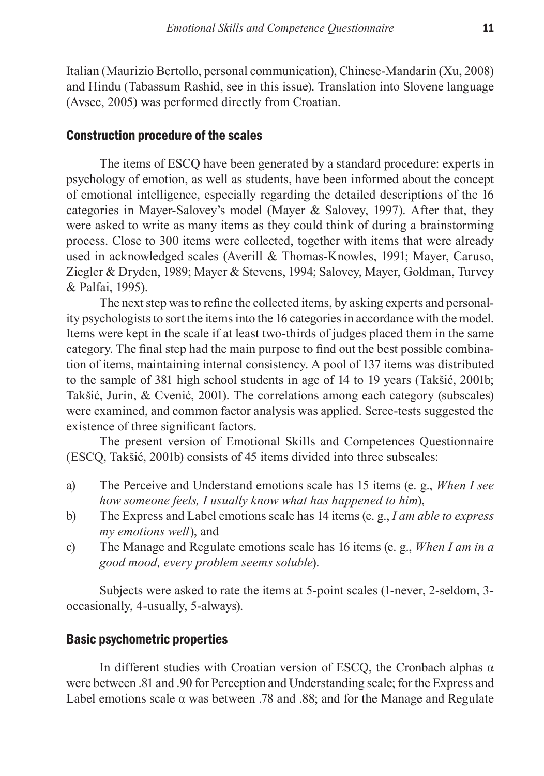Italian (Maurizio Bertollo, personal communication), Chinese-Mandarin (Xu, 2008) and Hindu (Tabassum Rashid, see in this issue). Translation into Slovene language (Avsec, 2005) was performed directly from Croatian.

## Construction procedure of the scales

The items of ESCQ have been generated by a standard procedure: experts in psychology of emotion, as well as students, have been informed about the concept of emotional intelligence, especially regarding the detailed descriptions of the 16 categories in Mayer-Salovey's model (Mayer & Salovey, 1997). After that, they were asked to write as many items as they could think of during a brainstorming process. Close to 300 items were collected, together with items that were already used in acknowledged scales (Averill & Thomas-Knowles, 1991; Mayer, Caruso, Ziegler & Dryden, 1989; Mayer & Stevens, 1994; Salovey, Mayer, Goldman, Turvey & Palfai, 1995).

The next step was to refine the collected items, by asking experts and personality psychologists to sort the items into the 16 categories in accordance with the model. Items were kept in the scale if at least two-thirds of judges placed them in the same category. The final step had the main purpose to find out the best possible combination of items, maintaining internal consistency. A pool of 137 items was distributed to the sample of 381 high school students in age of 14 to 19 years (Takšić, 2001b; Takšić, Jurin, & Cvenić, 2001). The correlations among each category (subscales) were examined, and common factor analysis was applied. Scree-tests suggested the existence of three significant factors.

The present version of Emotional Skills and Competences Questionnaire (ESCQ, Takšić, 2001b) consists of 45 items divided into three subscales:

- a) The Perceive and Understand emotions scale has 15 items (e. g., *When I see how someone feels, I usually know what has happened to him*),
- b) The Express and Label emotions scale has 14 items (e. g., *I am able to express my emotions well*), and
- c) The Manage and Regulate emotions scale has 16 items (e. g., *When I am in a good mood, every problem seems soluble*).

Subjects were asked to rate the items at 5-point scales (1-never, 2-seldom, 3 occasionally, 4-usually, 5-always).

## Basic psychometric properties

In different studies with Croatian version of ESCO, the Cronbach alphas  $\alpha$ were between .81 and .90 for Perception and Understanding scale; for the Express and Label emotions scale  $\alpha$  was between .78 and .88; and for the Manage and Regulate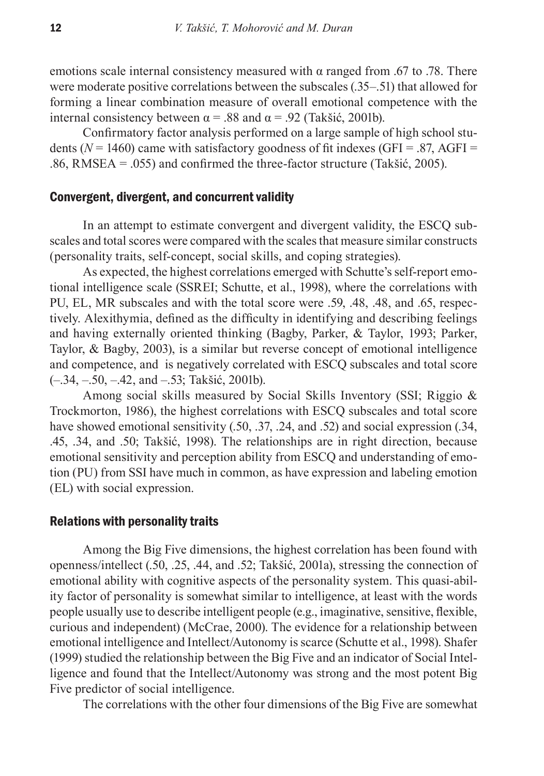emotions scale internal consistency measured with  $\alpha$  ranged from .67 to .78. There were moderate positive correlations between the subscales (.35–.51) that allowed for forming a linear combination measure of overall emotional competence with the internal consistency between  $\alpha$  = .88 and  $\alpha$  = .92 (Takšić, 2001b).

Confirmatory factor analysis performed on a large sample of high school students ( $N = 1460$ ) came with satisfactory goodness of fit indexes (GFI = .87, AGFI = .86, RMSEA = .055) and confirmed the three-factor structure (Takšić, 2005).

#### Convergent, divergent, and concurrent validity

In an attempt to estimate convergent and divergent validity, the ESCQ subscales and total scores were compared with the scales that measure similar constructs (personality traits, self-concept, social skills, and coping strategies).

As expected, the highest correlations emerged with Schutte's self-report emotional intelligence scale (SSREI; Schutte, et al., 1998), where the correlations with PU, EL, MR subscales and with the total score were .59, .48, .48, and .65, respectively. Alexithymia, defined as the difficulty in identifying and describing feelings and having externally oriented thinking (Bagby, Parker, & Taylor, 1993; Parker, Taylor, & Bagby, 2003), is a similar but reverse concept of emotional intelligence and competence, and is negatively correlated with ESCQ subscales and total score (–.34, –.50, –.42, and –.53; Takšić, 2001b).

Among social skills measured by Social Skills Inventory (SSI; Riggio & Trockmorton, 1986), the highest correlations with ESCQ subscales and total score have showed emotional sensitivity (.50, .37, .24, and .52) and social expression (.34, .45, .34, and .50; Takšić, 1998). The relationships are in right direction, because emotional sensitivity and perception ability from ESCQ and understanding of emotion (PU) from SSI have much in common, as have expression and labeling emotion (EL) with social expression.

#### Relations with personality traits

Among the Big Five dimensions, the highest correlation has been found with openness/intellect (.50, .25, .44, and .52; Takšić, 2001a), stressing the connection of emotional ability with cognitive aspects of the personality system. This quasi-ability factor of personality is somewhat similar to intelligence, at least with the words people usually use to describe intelligent people (e.g., imaginative, sensitive, flexible, curious and independent) (McCrae, 2000). The evidence for a relationship between emotional intelligence and Intellect/Autonomy is scarce (Schutte et al., 1998). Shafer (1999) studied the relationship between the Big Five and an indicator of Social Intelligence and found that the Intellect/Autonomy was strong and the most potent Big Five predictor of social intelligence.

The correlations with the other four dimensions of the Big Five are somewhat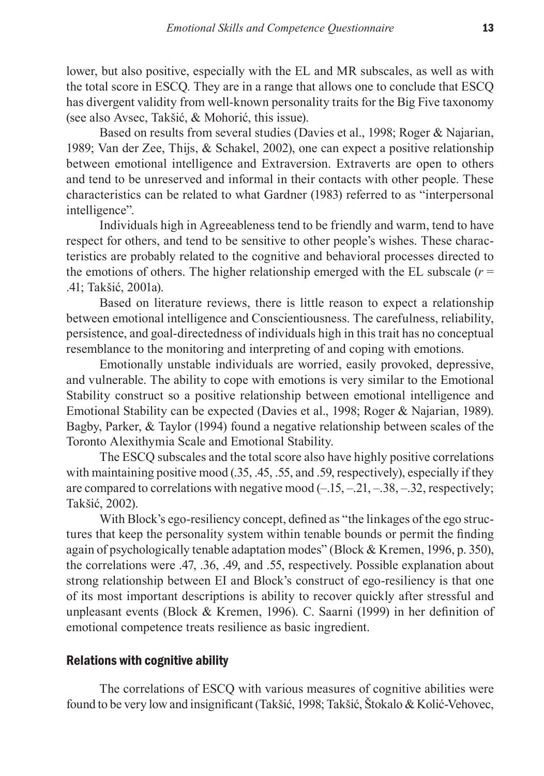lower, but also positive, especially with the EL and MR subscales, as well as with the total score in ESCQ. They are in a range that allows one to conclude that ESCQ has divergent validity from well-known personality traits for the Big Five taxonomy (see also Avsec, Takšić, & Mohorić, this issue).

Based on results from several studies (Davies et al., 1998; Roger & Najarian, 1989; Van der Zee, Thijs, & Schakel, 2002), one can expect a positive relationship between emotional intelligence and Extraversion. Extraverts are open to others and tend to be unreserved and informal in their contacts with other people. These characteristics can be related to what Gardner (1983) referred to as "interpersonal intelligence".

Individuals high in Agreeableness tend to be friendly and warm, tend to have respect for others, and tend to be sensitive to other people's wishes. These characteristics are probably related to the cognitive and behavioral processes directed to the emotions of others. The higher relationship emerged with the EL subscale  $(r =$ .41; Takšić, 2001a).

Based on literature reviews, there is little reason to expect a relationship between emotional intelligence and Conscientiousness. The carefulness, reliability, persistence, and goal-directedness of individuals high in this trait has no conceptual resemblance to the monitoring and interpreting of and coping with emotions.

Emotionally unstable individuals are worried, easily provoked, depressive, and vulnerable. The ability to cope with emotions is very similar to the Emotional Stability construct so a positive relationship between emotional intelligence and Emotional Stability can be expected (Davies et al., 1998; Roger & Najarian, 1989). Bagby, Parker, & Taylor (1994) found a negative relationship between scales of the Toronto Alexithymia Scale and Emotional Stability.

The ESCQ subscales and the total score also have highly positive correlations with maintaining positive mood (.35, .45, .55, and .59, respectively), especially if they are compared to correlations with negative mood  $(-.15, -.21, -.38, -.32,$  respectively; Takšić, 2002).

With Block's ego-resiliency concept, defined as "the linkages of the ego structures that keep the personality system within tenable bounds or permit the finding again of psychologically tenable adaptation modes" (Block & Kremen, 1996, p. 350), the correlations were .47, .36, .49, and .55, respectively. Possible explanation about strong relationship between EI and Block's construct of ego-resiliency is that one of its most important descriptions is ability to recover quickly after stressful and unpleasant events (Block & Kremen, 1996). C. Saarni (1999) in her definition of emotional competence treats resilience as basic ingredient.

## Relations with cognitive ability

The correlations of ESCQ with various measures of cognitive abilities were found to be very low and insignificant (Takšić, 1998; Takšić, Štokalo & Kolić-Vehovec,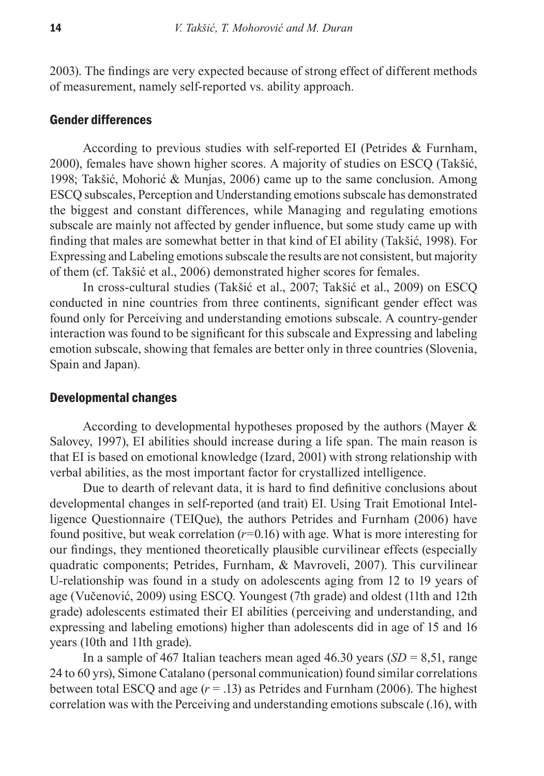2003). The findings are very expected because of strong effect of different methods of measurement, namely self-reported vs. ability approach.

### Gender differences

According to previous studies with self-reported EI (Petrides & Furnham, 2000), females have shown higher scores. A majority of studies on ESCQ (Takšić, 1998; Takšić, Mohorić & Munjas, 2006) came up to the same conclusion. Among ESCQ subscales, Perception and Understanding emotions subscale has demonstrated the biggest and constant differences, while Managing and regulating emotions subscale are mainly not affected by gender influence, but some study came up with finding that males are somewhat better in that kind of EI ability (Takšić, 1998). For Expressing and Labeling emotions subscale the results are not consistent, but majority of them (cf. Takšić et al., 2006) demonstrated higher scores for females.

In cross-cultural studies (Takšić et al., 2007; Takšić et al., 2009) on ESCQ conducted in nine countries from three continents, significant gender effect was found only for Perceiving and understanding emotions subscale. A country-gender interaction was found to be significant for this subscale and Expressing and labeling emotion subscale, showing that females are better only in three countries (Slovenia, Spain and Japan).

#### Developmental changes

According to developmental hypotheses proposed by the authors (Mayer & Salovey, 1997), EI abilities should increase during a life span. The main reason is that EI is based on emotional knowledge (Izard, 2001) with strong relationship with verbal abilities, as the most important factor for crystallized intelligence.

Due to dearth of relevant data, it is hard to find definitive conclusions about developmental changes in self-reported (and trait) EI. Using Trait Emotional Intelligence Questionnaire (TEIQue), the authors Petrides and Furnham (2006) have found positive, but weak correlation  $(r=0.16)$  with age. What is more interesting for our findings, they mentioned theoretically plausible curvilinear effects (especially quadratic components; Petrides, Furnham, & Mavroveli, 2007). This curvilinear U-relationship was found in a study on adolescents aging from 12 to 19 years of age (Vučenović, 2009) using ESCQ. Youngest (7th grade) and oldest (11th and 12th grade) adolescents estimated their EI abilities (perceiving and understanding, and expressing and labeling emotions) higher than adolescents did in age of 15 and 16 years (10th and 11th grade).

In a sample of 467 Italian teachers mean aged 46.30 years (*SD* = 8,51, range 24 to 60 yrs), Simone Catalano (personal communication) found similar correlations between total ESCQ and age  $(r = .13)$  as Petrides and Furnham (2006). The highest correlation was with the Perceiving and understanding emotions subscale (.16), with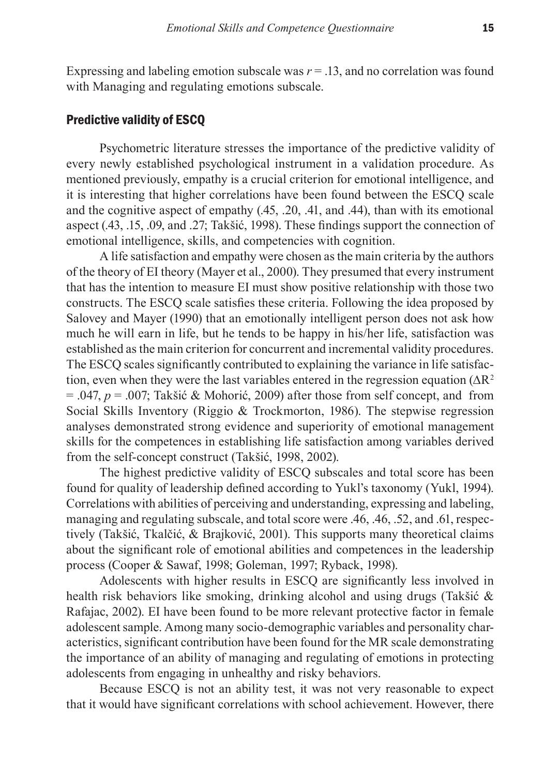Expressing and labeling emotion subscale was  $r = 0.13$ , and no correlation was found with Managing and regulating emotions subscale.

### Predictive validity of ESCQ

Psychometric literature stresses the importance of the predictive validity of every newly established psychological instrument in a validation procedure. As mentioned previously, empathy is a crucial criterion for emotional intelligence, and it is interesting that higher correlations have been found between the ESCQ scale and the cognitive aspect of empathy (.45, .20, .41, and .44), than with its emotional aspect (.43, .15, .09, and .27; Takšić, 1998). These findings support the connection of emotional intelligence, skills, and competencies with cognition.

A life satisfaction and empathy were chosen as the main criteria by the authors of the theory of EI theory (Mayer et al., 2000). They presumed that every instrument that has the intention to measure EI must show positive relationship with those two constructs. The ESCQ scale satisfies these criteria. Following the idea proposed by Salovey and Mayer (1990) that an emotionally intelligent person does not ask how much he will earn in life, but he tends to be happy in his/her life, satisfaction was established as the main criterion for concurrent and incremental validity procedures. The ESCQ scales significantly contributed to explaining the variance in life satisfaction, even when they were the last variables entered in the regression equation ( $\Delta R^2$ )  $= .047$ ,  $p = .007$ ; Takšić & Mohorić, 2009) after those from self concept, and from Social Skills Inventory (Riggio & Trockmorton, 1986). The stepwise regression analyses demonstrated strong evidence and superiority of emotional management skills for the competences in establishing life satisfaction among variables derived from the self-concept construct (Takšić, 1998, 2002).

The highest predictive validity of ESCQ subscales and total score has been found for quality of leadership defined according to Yukl's taxonomy (Yukl, 1994). Correlations with abilities of perceiving and understanding, expressing and labeling, managing and regulating subscale, and total score were .46, .46, .52, and .61, respectively (Takšić, Tkalčić, & Brajković, 2001). This supports many theoretical claims about the significant role of emotional abilities and competences in the leadership process (Cooper & Sawaf, 1998; Goleman, 1997; Ryback, 1998).

Adolescents with higher results in ESCQ are significantly less involved in health risk behaviors like smoking, drinking alcohol and using drugs (Takšić & Rafajac, 2002). EI have been found to be more relevant protective factor in female adolescent sample. Among many socio-demographic variables and personality characteristics, significant contribution have been found for the MR scale demonstrating the importance of an ability of managing and regulating of emotions in protecting adolescents from engaging in unhealthy and risky behaviors.

Because ESCQ is not an ability test, it was not very reasonable to expect that it would have significant correlations with school achievement. However, there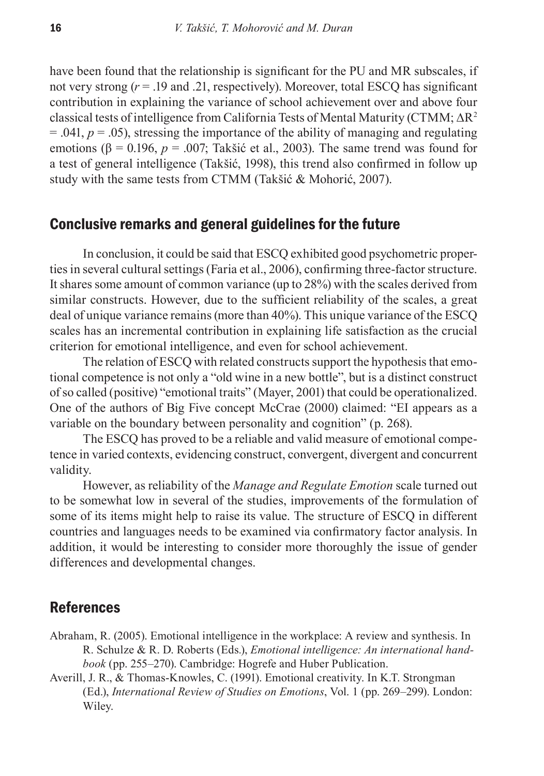have been found that the relationship is significant for the PU and MR subscales, if not very strong  $(r = .19$  and .21, respectively). Moreover, total ESCO has significant contribution in explaining the variance of school achievement over and above four classical tests of intelligence from California Tests of Mental Maturity (CTMM; ∆R<sup>2</sup>  $= .041$ ,  $p = .05$ ), stressing the importance of the ability of managing and regulating emotions ( $\beta$  = 0.196, *p* = .007; Takšić et al., 2003). The same trend was found for a test of general intelligence (Takšić, 1998), this trend also confirmed in follow up study with the same tests from CTMM (Takšić & Mohorić, 2007).

## Conclusive remarks and general guidelines for the future

In conclusion, it could be said that ESCQ exhibited good psychometric properties in several cultural settings (Faria et al., 2006), confirming three-factor structure. It shares some amount of common variance (up to 28%) with the scales derived from similar constructs. However, due to the sufficient reliability of the scales, a great deal of unique variance remains (more than 40%). This unique variance of the ESCQ scales has an incremental contribution in explaining life satisfaction as the crucial criterion for emotional intelligence, and even for school achievement.

The relation of ESCQ with related constructs support the hypothesis that emotional competence is not only a "old wine in a new bottle", but is a distinct construct of so called (positive) "emotional traits" (Mayer, 2001) that could be operationalized. One of the authors of Big Five concept McCrae (2000) claimed: "EI appears as a variable on the boundary between personality and cognition" (p. 268).

The ESCQ has proved to be a reliable and valid measure of emotional competence in varied contexts, evidencing construct, convergent, divergent and concurrent validity.

However, as reliability of the *Manage and Regulate Emotion* scale turned out to be somewhat low in several of the studies, improvements of the formulation of some of its items might help to raise its value. The structure of ESCQ in different countries and languages needs to be examined via confirmatory factor analysis. In addition, it would be interesting to consider more thoroughly the issue of gender differences and developmental changes.

## References

- Abraham, R. (2005). Emotional intelligence in the workplace: A review and synthesis. In R. Schulze & R. D. Roberts (Eds*.*), *Emotional intelligence: An international handbook* (pp. 255–270). Cambridge: Hogrefe and Huber Publication.
- Averill, J. R., & Thomas-Knowles, C. (1991). Emotional creativity. In K.T. Strongman (Ed.), *International Review of Studies on Emotions*, Vol. 1 (pp. 269–299). London: Wiley.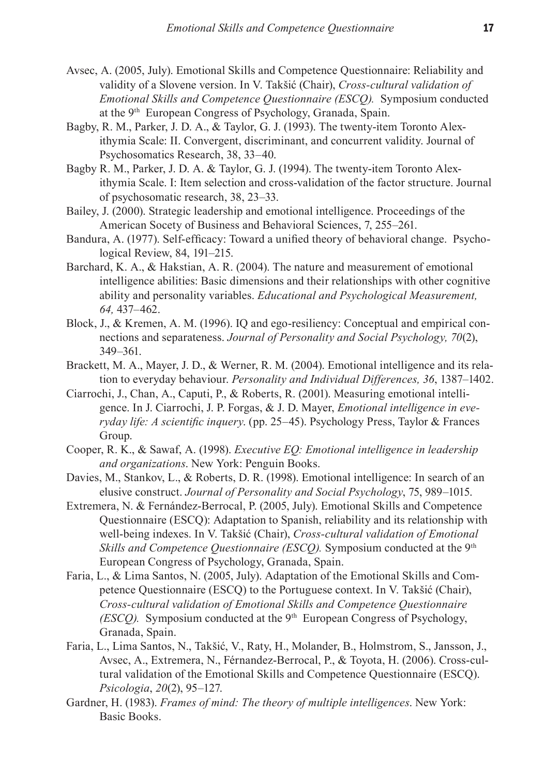- Avsec, A. (2005, July). Emotional Skills and Competence Questionnaire: Reliability and validity of a Slovene version. In V. Takšić (Chair), *Cross-cultural validation of Emotional Skills and Competence Questionnaire (ESCQ).* Symposium conducted at the 9<sup>th</sup> European Congress of Psychology, Granada, Spain.
- Bagby, R. M., Parker, J. D. A., & Taylor, G. J. (1993). The twenty-item Toronto Alexithymia Scale: II. Convergent, discriminant, and concurrent validity. Journal of Psychosomatics Research, 38, 33–40.
- Bagby R. M., Parker, J. D. A. & Taylor, G. J. (1994). The twenty-item Toronto Alexithymia Scale. I: Item selection and cross-validation of the factor structure. Journal of psychosomatic research, 38, 23–33.
- Bailey, J. (2000). Strategic leadership and emotional intelligence. Proceedings of the American Socety of Business and Behavioral Sciences, 7, 255–261.
- Bandura, A. (1977). Self-efficacy: Toward a unified theory of behavioral change. Psychological Review, 84, 191–215.
- Barchard, K. A., & Hakstian, A. R. (2004). The nature and measurement of emotional intelligence abilities: Basic dimensions and their relationships with other cognitive ability and personality variables. *Educational and Psychological Measurement, 64,* 437–462.
- Block, J., & Kremen, A. M. (1996). IQ and ego-resiliency: Conceptual and empirical connections and separateness. *Journal of Personality and Social Psychology, 70*(2), 349–361.
- Brackett, M. A., Mayer, J. D., & Werner, R. M. (2004). Emotional intelligence and its relation to everyday behaviour. *Personality and Individual Differences, 36*, 1387–1402.
- Ciarrochi, J., Chan, A., Caputi, P., & Roberts, R. (2001). Measuring emotional intelligence. In J. Ciarrochi, J. P. Forgas, & J. D. Mayer, *Emotional intelligence in everyday life: A scientific inquery*. (pp. 25–45). Psychology Press, Taylor & Frances Group.
- Cooper, R. K., & Sawaf, A. (1998). *Executive EQ: Emotional intelligence in leadership and organizations*. New York: Penguin Books.
- Davies, M., Stankov, L., & Roberts, D. R. (1998). Emotional intelligence: In search of an elusive construct. *Journal of Personality and Social Psychology*, 75, 989–1015.
- Extremera, N. & Fernández-Berrocal, P. (2005, July). Emotional Skills and Competence Questionnaire (ESCQ): Adaptation to Spanish, reliability and its relationship with well-being indexes. In V. Takšić (Chair), *Cross-cultural validation of Emotional Skills and Competence Ouestionnaire (ESCO)*. Symposium conducted at the 9<sup>th</sup> European Congress of Psychology, Granada, Spain.
- Faria, L., & Lima Santos, N. (2005, July). Adaptation of the Emotional Skills and Competence Questionnaire (ESCQ) to the Portuguese context. In V. Takšić (Chair), *Cross-cultural validation of Emotional Skills and Competence Questionnaire (ESCO).* Symposium conducted at the 9<sup>th</sup> European Congress of Psychology, Granada, Spain.
- Faria, L., Lima Santos, N., Takšić, V., Raty, H., Molander, B., Holmstrom, S., Jansson, J., Avsec, A., Extremera, N., Férnandez-Berrocal, P., & Toyota, H. (2006). Cross-cultural validation of the Emotional Skills and Competence Questionnaire (ESCQ). *Psicologia*, *20*(2), 95–127.
- Gardner, H. (1983). *Frames of mind: The theory of multiple intelligences*. New York: Basic Books.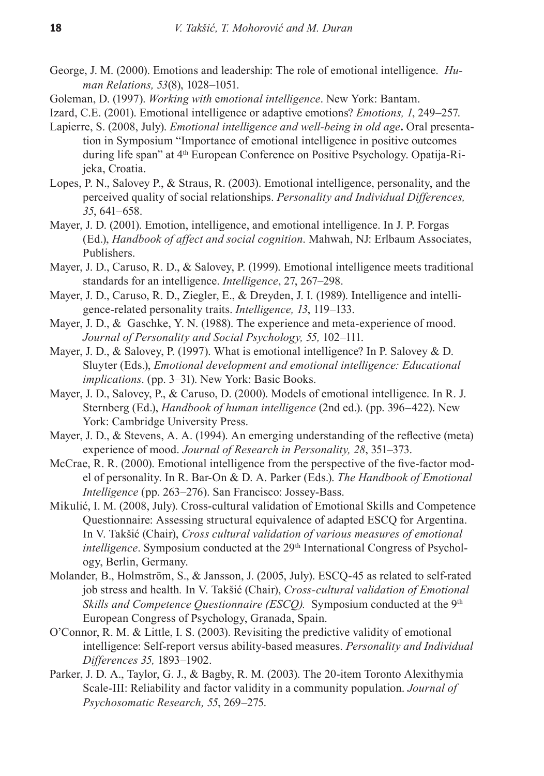- George, J. M. (2000). Emotions and leadership: The role of emotional intelligence. *Human Relations, 53*(8), 1028–1051.
- Goleman, D. (1997). *Working with* e*motional intelligence*. New York: Bantam.
- Izard, C.E. (2001). Emotional intelligence or adaptive emotions? *Emotions, 1*, 249–257.
- Lapierre, S. (2008, July). *Emotional intelligence and well-being in old age***.** Oral presentation in Symposium "Importance of emotional intelligence in positive outcomes during life span" at 4th European Conference on Positive Psychology. Opatija-Rijeka, Croatia.
- Lopes, P. N., Salovey P., & Straus, R. (2003). Emotional intelligence, personality, and the perceived quality of social relationships. *Personality and Individual Differences, 35*, 641–658.
- Mayer, J. D. (2001). Emotion, intelligence, and emotional intelligence. In J. P. Forgas (Ed.), *Handbook of affect and social cognition*. Mahwah, NJ: Erlbaum Associates, Publishers.
- Mayer, J. D., Caruso, R. D., & Salovey, P. (1999). Emotional intelligence meets traditional standards for an intelligence. *Intelligence*, 27, 267–298.
- Mayer, J. D., Caruso, R. D., Ziegler, E., & Dreyden, J. I. (1989). Intelligence and intelligence-related personality traits. *Intelligence, 13*, 119–133.
- Mayer, J. D., & Gaschke, Y. N. (1988). The experience and meta-experience of mood. *Journal of Personality and Social Psychology, 55,* 102–111.
- Mayer, J. D., & Salovey, P. (1997). What is emotional intelligence? In P. Salovey & D. Sluyter (Eds.), *Emotional development and emotional intelligence: Educational implications*. (pp. 3–31). New York: Basic Books.
- Mayer, J. D., Salovey, P., & Caruso, D. (2000). Models of emotional intelligence. In R. J. Sternberg (Ed.), *Handbook of human intelligence* (2nd ed.). (pp. 396–422). New York: Cambridge University Press.
- Mayer, J. D., & Stevens, A. A. (1994). An emerging understanding of the reflective (meta) experience of mood. *Journal of Research in Personality, 28*, 351–373.
- McCrae, R. R. (2000). Emotional intelligence from the perspective of the five-factor model of personality. In R. Bar-On & D. A. Parker (Eds.). *The Handbook of Emotional Intelligence* (pp. 263–276). San Francisco: Jossey-Bass.
- Mikulić, I. M. (2008, July). Cross-cultural validation of Emotional Skills and Competence Questionnaire: Assessing structural equivalence of adapted ESCQ for Argentina. In V. Takšić (Chair), *Cross cultural validation of various measures of emotional intelligence*. Symposium conducted at the 29<sup>th</sup> International Congress of Psychology, Berlin, Germany.
- Molander, B., Holmström, S., & Jansson, J. (2005, July). ESCQ-45 as related to self-rated job stress and health*.* In V. Takšić (Chair), *Cross-cultural validation of Emotional Skills and Competence Ouestionnaire (ESCO).* Symposium conducted at the 9<sup>th</sup> European Congress of Psychology, Granada, Spain.
- O'Connor, R. M. & Little, I. S. (2003). Revisiting the predictive validity of emotional intelligence: Self-report versus ability-based measures. *Personality and Individual Differences 35,* 1893–1902.
- Parker, J. D. A., Taylor, G. J., & Bagby, R. M. (2003). The 20-item Toronto Alexithymia Scale-III: Reliability and factor validity in a community population. *Journal of Psychosomatic Research, 55*, 269–275.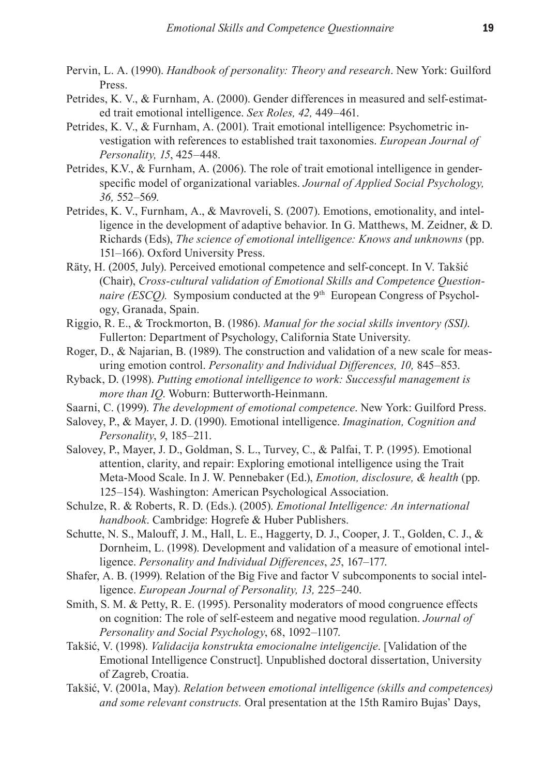- Pervin, L. A. (1990). *Handbook of personality: Theory and research*. New York: Guilford Press.
- Petrides, K. V., & Furnham, A. (2000). Gender differences in measured and self-estimated trait emotional intelligence. *Sex Roles, 42,* 449–461.
- Petrides, K. V., & Furnham, A. (2001). Trait emotional intelligence: Psychometric investigation with references to established trait taxonomies. *European Journal of Personality, 15*, 425–448.
- Petrides, K.V., & Furnham, A. (2006). The role of trait emotional intelligence in genderspecific model of organizational variables. *Journal of Applied Social Psychology, 36,* 552–569.
- Petrides, K. V., Furnham, A., & Mavroveli, S. (2007). Emotions, emotionality, and intelligence in the development of adaptive behavior. In G. Matthews, M. Zeidner, & D. Richards (Eds), *The science of emotional intelligence: Knows and unknowns* (pp. 151–166). Oxford University Press.
- Räty, H. (2005, July). Perceived emotional competence and self-concept. In V. Takšić (Chair), *Cross-cultural validation of Emotional Skills and Competence Questionnaire (ESCO).* Symposium conducted at the 9<sup>th</sup> European Congress of Psychology, Granada, Spain.
- Riggio, R. E., & Trockmorton, B. (1986). *Manual for the social skills inventory (SSI)*. Fullerton: Department of Psychology, California State University.
- Roger, D., & Najarian, B. (1989). The construction and validation of a new scale for measuring emotion control. *Personality and Individual Differences, 10,* 845–853.
- Ryback, D. (1998). *Putting emotional intelligence to work: Successful management is more than IQ*. Woburn: Butterworth-Heinmann.
- Saarni, C. (1999). *The development of emotional competence*. New York: Guilford Press.
- Salovey, P., & Mayer, J. D. (1990). Emotional intelligence. *Imagination, Cognition and Personality*, *9*, 185–211.
- Salovey, P., Mayer, J. D., Goldman, S. L., Turvey, C., & Palfai, T. P. (1995). Emotional attention, clarity, and repair: Exploring emotional intelligence using the Trait Meta-Mood Scale. In J. W. Pennebaker (Ed.), *Emotion, disclosure, & health* (pp. 125–154). Washington: American Psychological Association.
- Schulze, R. & Roberts, R. D. (Eds.). (2005). *Emotional Intelligence: An international handbook*. Cambridge: Hogrefe & Huber Publishers.
- Schutte, N. S., Malouff, J. M., Hall, L. E., Haggerty, D. J., Cooper, J. T., Golden, C. J., & Dornheim, L. (1998). Development and validation of a measure of emotional intelligence. *Personality and Individual Differences*, *25*, 167–177.
- Shafer, A. B. (1999). Relation of the Big Five and factor V subcomponents to social intelligence. *European Journal of Personality, 13,* 225–240.
- Smith, S. M. & Petty, R. E. (1995). Personality moderators of mood congruence effects on cognition: The role of self-esteem and negative mood regulation. *Journal of Personality and Social Psychology*, 68, 1092–1107.
- Takšić, V. (1998). *Validacija konstrukta emocionalne inteligencije*. [Validation of the Emotional Intelligence Construct]. Unpublished doctoral dissertation, University of Zagreb, Croatia.
- Takšić, V. (2001a, May). *Relation between emotional intelligence (skills and competences) and some relevant constructs.* Oral presentation at the 15th Ramiro Bujas' Days,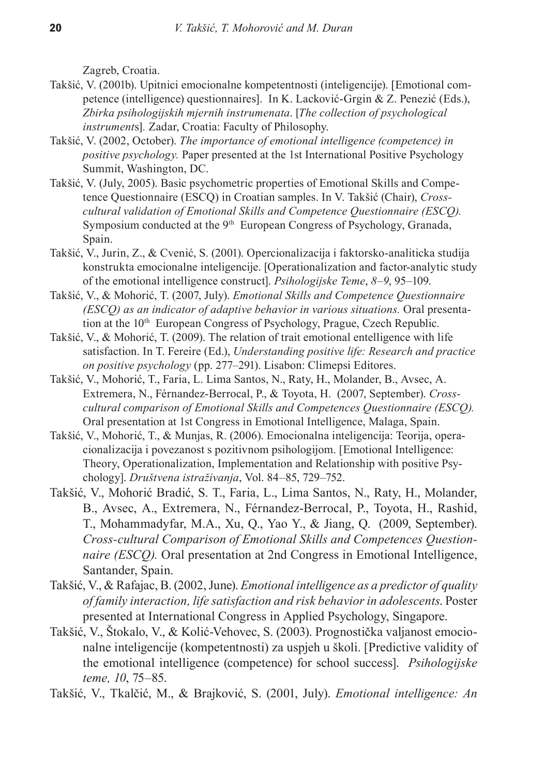Zagreb, Croatia.

- Takšić, V. (2001b). Upitnici emocionalne kompetentnosti (inteligencije). [Emotional competence (intelligence) questionnaires]. In K. Lacković-Grgin & Z. Penezić (Eds.), *Zbirka psihologijskih mjernih instrumenata*. [*The collection of psychological instrument*s]*.* Zadar, Croatia: Faculty of Philosophy.
- Takšić, V. (2002, October). *The importance of emotional intelligence (competence) in positive psychology.* Paper presented at the 1st International Positive Psychology Summit, Washington, DC.
- Takšić, V. (July, 2005). Basic psychometric properties of Emotional Skills and Competence Questionnaire (ESCQ) in Croatian samples. In V. Takšić (Chair), *Crosscultural validation of Emotional Skills and Competence Questionnaire (ESCQ).*  Symposium conducted at the 9<sup>th</sup> European Congress of Psychology, Granada, Spain.
- Takšić, V., Jurin, Z., & Cvenić, S. (2001). Opercionalizacija i faktorsko-analiticka studija konstrukta emocionalne inteligencije. [Operationalization and factor-analytic study of the emotional intelligence construct]. *Psihologijske Teme*, *8*–*9*, 95–109.
- Takšić, V., & Mohorić, T. (2007, July). *Emotional Skills and Competence Questionnaire (ESCQ) as an indicator of adaptive behavior in various situations.* Oral presentation at the 10<sup>th</sup> European Congress of Psychology, Prague, Czech Republic.
- Takšić, V., & Mohorić, T. (2009). The relation of trait emotional entelligence with life satisfaction. In T. Fereire (Ed.), *Understanding positive life: Research and practice on positive psychology* (pp. 277–291). Lisabon: Climepsi Editores.
- Takšić, V., Mohorić, T., Faria, L. Lima Santos, N., Raty, H., Molander, B., Avsec, A. Extremera, N., Férnandez-Berrocal, P., & Toyota, H. (2007, September). *Crosscultural comparison of Emotional Skills and Competences Questionnaire (ESCQ).*  Oral presentation at 1st Congress in Emotional Intelligence, Malaga, Spain.
- Takšić, V., Mohorić, T., & Munjas, R. (2006). Emocionalna inteligencija: Teorija, operacionalizacija i povezanost s pozitivnom psihologijom. [Emotional Intelligence: Theory, Operationalization, Implementation and Relationship with positive Psychology]. *Društvena istraživanja*, Vol. 84–85, 729–752.
- Takšić, V., Mohorić Bradić, S. T., Faria, L., Lima Santos, N., Raty, H., Molander, B., Avsec, A., Extremera, N., Férnandez-Berrocal, P., Toyota, H., Rashid, T., Mohammadyfar, M.A., Xu, Q., Yao Y., & Jiang, Q. (2009, September). *Cross-cultural Comparison of Emotional Skills and Competences Questionnaire (ESCQ).* Oral presentation at 2nd Congress in Emotional Intelligence, Santander, Spain.
- Takšić, V., & Rafajac, B. (2002, June). *Emotional intelligence as a predictor of quality of family interaction, life satisfaction and risk behavior in adolescents*. Poster presented at International Congress in Applied Psychology, Singapore.
- Takšić, V., Štokalo, V., & Kolić-Vehovec, S. (2003). Prognostička valjanost emocionalne inteligencije (kompetentnosti) za uspjeh u školi. [Predictive validity of the emotional intelligence (competence) for school success]. *Psihologijske teme, 10*, 75–85.

Takšić, V., Tkalčić, M., & Brajković, S. (2001, July). *Emotional intelligence: An*